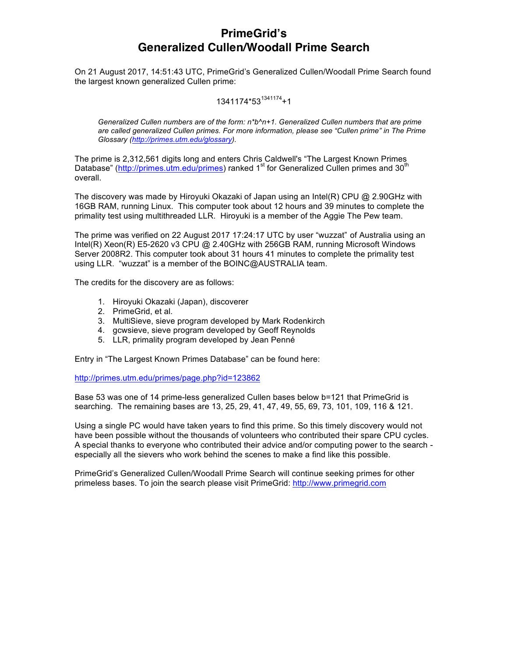# **PrimeGrid's Generalized Cullen/Woodall Prime Search**

On 21 August 2017, 14:51:43 UTC, PrimeGrid's Generalized Cullen/Woodall Prime Search found the largest known generalized Cullen prime:

### 1341174\*53<sup>1341174</sup>+1

*Generalized Cullen numbers are of the form: n\*b^n+1. Generalized Cullen numbers that are prime are called generalized Cullen primes. For more information, please see "Cullen prime" in The Prime Glossary (http://primes.utm.edu/glossary).*

The prime is 2,312,561 digits long and enters Chris Caldwell's "The Largest Known Primes Database" (http://primes.utm.edu/primes) ranked 1<sup>st</sup> for Generalized Cullen primes and 30<sup>th</sup> overall.

The discovery was made by Hiroyuki Okazaki of Japan using an Intel(R) CPU @ 2.90GHz with 16GB RAM, running Linux. This computer took about 12 hours and 39 minutes to complete the primality test using multithreaded LLR. Hiroyuki is a member of the Aggie The Pew team.

The prime was verified on 22 August 2017 17:24:17 UTC by user "wuzzat" of Australia using an Intel(R) Xeon(R) E5-2620 v3 CPU @ 2.40GHz with 256GB RAM, running Microsoft Windows Server 2008R2. This computer took about 31 hours 41 minutes to complete the primality test using LLR. "wuzzat" is a member of the BOINC@AUSTRALIA team.

The credits for the discovery are as follows:

- 1. Hiroyuki Okazaki (Japan), discoverer
- 2. PrimeGrid, et al.
- 3. MultiSieve, sieve program developed by Mark Rodenkirch
- 4. gcwsieve, sieve program developed by Geoff Reynolds
- 5. LLR, primality program developed by Jean Penné

Entry in "The Largest Known Primes Database" can be found here:

http://primes.utm.edu/primes/page.php?id=123862

Base 53 was one of 14 prime-less generalized Cullen bases below b=121 that PrimeGrid is searching. The remaining bases are 13, 25, 29, 41, 47, 49, 55, 69, 73, 101, 109, 116 & 121.

Using a single PC would have taken years to find this prime. So this timely discovery would not have been possible without the thousands of volunteers who contributed their spare CPU cycles. A special thanks to everyone who contributed their advice and/or computing power to the search especially all the sievers who work behind the scenes to make a find like this possible.

PrimeGrid's Generalized Cullen/Woodall Prime Search will continue seeking primes for other primeless bases. To join the search please visit PrimeGrid: http://www.primegrid.com